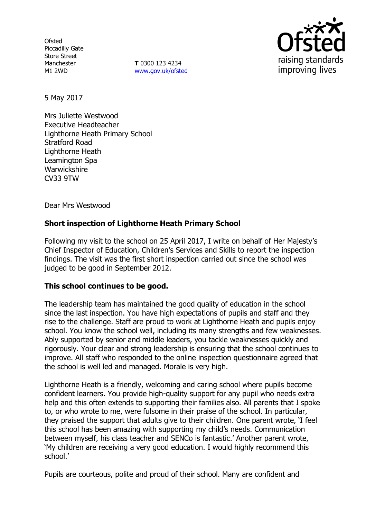**Ofsted** Piccadilly Gate Store Street Manchester M1 2WD

**T** 0300 123 4234 www.gov.uk/ofsted



5 May 2017

Mrs Juliette Westwood Executive Headteacher Lighthorne Heath Primary School Stratford Road Lighthorne Heath Leamington Spa **Warwickshire** CV33 9TW

Dear Mrs Westwood

# **Short inspection of Lighthorne Heath Primary School**

Following my visit to the school on 25 April 2017, I write on behalf of Her Majesty's Chief Inspector of Education, Children's Services and Skills to report the inspection findings. The visit was the first short inspection carried out since the school was judged to be good in September 2012.

### **This school continues to be good.**

The leadership team has maintained the good quality of education in the school since the last inspection. You have high expectations of pupils and staff and they rise to the challenge. Staff are proud to work at Lighthorne Heath and pupils enjoy school. You know the school well, including its many strengths and few weaknesses. Ably supported by senior and middle leaders, you tackle weaknesses quickly and rigorously. Your clear and strong leadership is ensuring that the school continues to improve. All staff who responded to the online inspection questionnaire agreed that the school is well led and managed. Morale is very high.

Lighthorne Heath is a friendly, welcoming and caring school where pupils become confident learners. You provide high-quality support for any pupil who needs extra help and this often extends to supporting their families also. All parents that I spoke to, or who wrote to me, were fulsome in their praise of the school. In particular, they praised the support that adults give to their children. One parent wrote, 'I feel this school has been amazing with supporting my child's needs. Communication between myself, his class teacher and SENCo is fantastic.' Another parent wrote, 'My children are receiving a very good education. I would highly recommend this school.'

Pupils are courteous, polite and proud of their school. Many are confident and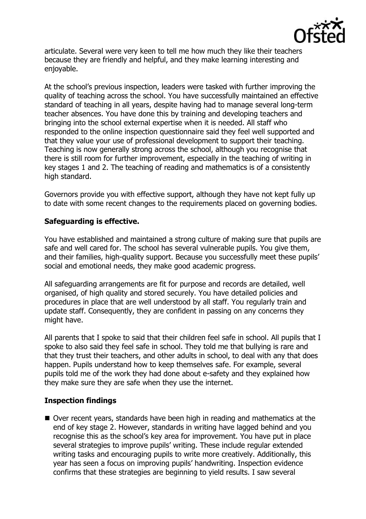

articulate. Several were very keen to tell me how much they like their teachers because they are friendly and helpful, and they make learning interesting and enjoyable.

At the school's previous inspection, leaders were tasked with further improving the quality of teaching across the school. You have successfully maintained an effective standard of teaching in all years, despite having had to manage several long-term teacher absences. You have done this by training and developing teachers and bringing into the school external expertise when it is needed. All staff who responded to the online inspection questionnaire said they feel well supported and that they value your use of professional development to support their teaching. Teaching is now generally strong across the school, although you recognise that there is still room for further improvement, especially in the teaching of writing in key stages 1 and 2. The teaching of reading and mathematics is of a consistently high standard.

Governors provide you with effective support, although they have not kept fully up to date with some recent changes to the requirements placed on governing bodies.

## **Safeguarding is effective.**

You have established and maintained a strong culture of making sure that pupils are safe and well cared for. The school has several vulnerable pupils. You give them, and their families, high-quality support. Because you successfully meet these pupils' social and emotional needs, they make good academic progress.

All safeguarding arrangements are fit for purpose and records are detailed, well organised, of high quality and stored securely. You have detailed policies and procedures in place that are well understood by all staff. You regularly train and update staff. Consequently, they are confident in passing on any concerns they might have.

All parents that I spoke to said that their children feel safe in school. All pupils that I spoke to also said they feel safe in school. They told me that bullying is rare and that they trust their teachers, and other adults in school, to deal with any that does happen. Pupils understand how to keep themselves safe. For example, several pupils told me of the work they had done about e-safety and they explained how they make sure they are safe when they use the internet.

# **Inspection findings**

 Over recent years, standards have been high in reading and mathematics at the end of key stage 2. However, standards in writing have lagged behind and you recognise this as the school's key area for improvement. You have put in place several strategies to improve pupils' writing. These include regular extended writing tasks and encouraging pupils to write more creatively. Additionally, this year has seen a focus on improving pupils' handwriting. Inspection evidence confirms that these strategies are beginning to yield results. I saw several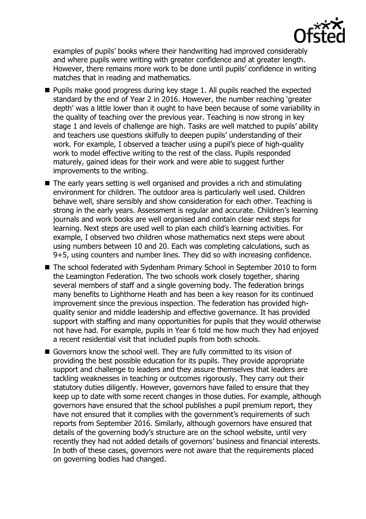

examples of pupils' books where their handwriting had improved considerably and where pupils were writing with greater confidence and at greater length. However, there remains more work to be done until pupils' confidence in writing matches that in reading and mathematics.

- **Pupils make good progress during key stage 1. All pupils reached the expected** standard by the end of Year 2 in 2016. However, the number reaching 'greater depth' was a little lower than it ought to have been because of some variability in the quality of teaching over the previous year. Teaching is now strong in key stage 1 and levels of challenge are high. Tasks are well matched to pupils' ability and teachers use questions skilfully to deepen pupils' understanding of their work. For example, I observed a teacher using a pupil's piece of high-quality work to model effective writing to the rest of the class. Pupils responded maturely, gained ideas for their work and were able to suggest further improvements to the writing.
- The early years setting is well organised and provides a rich and stimulating environment for children. The outdoor area is particularly well used. Children behave well, share sensibly and show consideration for each other. Teaching is strong in the early years. Assessment is regular and accurate. Children's learning journals and work books are well organised and contain clear next steps for learning. Next steps are used well to plan each child's learning activities. For example, I observed two children whose mathematics next steps were about using numbers between 10 and 20. Each was completing calculations, such as 9+5, using counters and number lines. They did so with increasing confidence.
- The school federated with Sydenham Primary School in September 2010 to form the Leamington Federation. The two schools work closely together, sharing several members of staff and a single governing body. The federation brings many benefits to Lighthorne Heath and has been a key reason for its continued improvement since the previous inspection. The federation has provided highquality senior and middle leadership and effective governance. It has provided support with staffing and many opportunities for pupils that they would otherwise not have had. For example, pupils in Year 6 told me how much they had enjoyed a recent residential visit that included pupils from both schools.
- Governors know the school well. They are fully committed to its vision of providing the best possible education for its pupils. They provide appropriate support and challenge to leaders and they assure themselves that leaders are tackling weaknesses in teaching or outcomes rigorously. They carry out their statutory duties diligently. However, governors have failed to ensure that they keep up to date with some recent changes in those duties. For example, although governors have ensured that the school publishes a pupil premium report, they have not ensured that it complies with the government's requirements of such reports from September 2016. Similarly, although governors have ensured that details of the governing body's structure are on the school website, until very recently they had not added details of governors' business and financial interests. In both of these cases, governors were not aware that the requirements placed on governing bodies had changed.